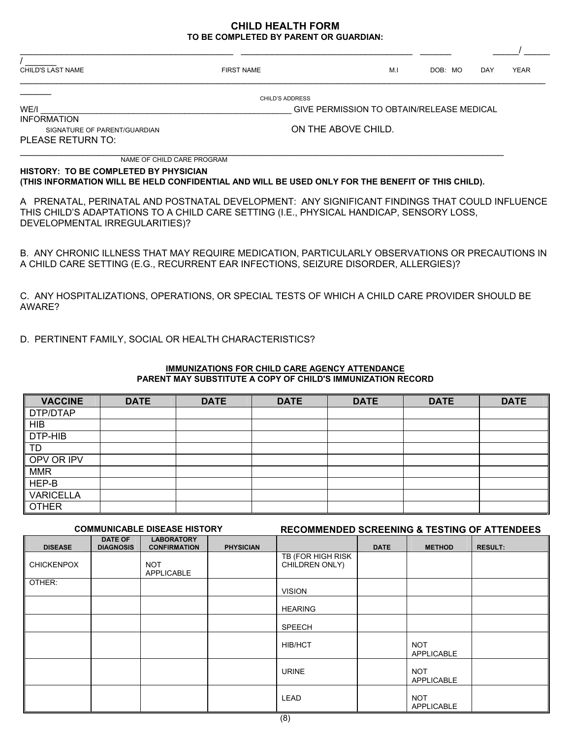## **CHILD HEALTH FORM TO BE COMPLETED BY PARENT OR GUARDIAN:**

| <b>FIRST NAME</b> | M <sub>1</sub>                                                                                |  |  | <b>DAY</b> | <b>YEAR</b>                                                                                                                                    |  |
|-------------------|-----------------------------------------------------------------------------------------------|--|--|------------|------------------------------------------------------------------------------------------------------------------------------------------------|--|
|                   |                                                                                               |  |  |            |                                                                                                                                                |  |
|                   |                                                                                               |  |  |            |                                                                                                                                                |  |
|                   |                                                                                               |  |  |            |                                                                                                                                                |  |
|                   | ON THE ABOVE CHILD.                                                                           |  |  |            |                                                                                                                                                |  |
|                   |                                                                                               |  |  |            |                                                                                                                                                |  |
|                   |                                                                                               |  |  |            |                                                                                                                                                |  |
|                   |                                                                                               |  |  |            |                                                                                                                                                |  |
|                   | <b>CHILD'S ADDRESS</b><br>NAME OF CHILD CARE PROGRAM<br>HISTORY: TO BE COMPLETED BY PHYSICIAN |  |  | DOB: MO    | GIVE PERMISSION TO OBTAIN/RELEASE MEDICAL<br>(THIS INFORMATION WILL BE HELD CONFIDENTIAL AND WILL BE USED ONLY FOR THE BENEFIT OF THIS CHILD). |  |

A PRENATAL, PERINATAL AND POSTNATAL DEVELOPMENT: ANY SIGNIFICANT FINDINGS THAT COULD INFLUENCE THIS CHILD'S ADAPTATIONS TO A CHILD CARE SETTING (I.E., PHYSICAL HANDICAP, SENSORY LOSS, DEVELOPMENTAL IRREGULARITIES)?

B. ANY CHRONIC ILLNESS THAT MAY REQUIRE MEDICATION, PARTICULARLY OBSERVATIONS OR PRECAUTIONS IN A CHILD CARE SETTING (E.G., RECURRENT EAR INFECTIONS, SEIZURE DISORDER, ALLERGIES)?

C. ANY HOSPITALIZATIONS, OPERATIONS, OR SPECIAL TESTS OF WHICH A CHILD CARE PROVIDER SHOULD BE AWARE?

D. PERTINENT FAMILY, SOCIAL OR HEALTH CHARACTERISTICS?

| <b>VACCINE</b>   | <b>DATE</b> | <b>DATE</b> | <b>DATE</b> | <b>DATE</b> | <b>DATE</b> | <b>DATE</b> |
|------------------|-------------|-------------|-------------|-------------|-------------|-------------|
| DTP/DTAP         |             |             |             |             |             |             |
| <b>HIB</b>       |             |             |             |             |             |             |
| DTP-HIB          |             |             |             |             |             |             |
| <b>TD</b>        |             |             |             |             |             |             |
| OPV OR IPV       |             |             |             |             |             |             |
| <b>MMR</b>       |             |             |             |             |             |             |
| HEP-B            |             |             |             |             |             |             |
| <b>VARICELLA</b> |             |             |             |             |             |             |
| <b>OTHER</b>     |             |             |             |             |             |             |

### **IMMUNIZATIONS FOR CHILD CARE AGENCY ATTENDANCE PARENT MAY SUBSTITUTE A COPY OF CHILD'S IMMUNIZATION RECORD**

### **COMMUNICABLE DISEASE HISTORY RECOMMENDED SCREENING & TESTING OF ATTENDEES**

| <u>oommonioridee dioerioe motont</u> |                                    |                                          |                  | INLOOMINICHDED GONEENING & TEOTHNO OF ATTENDEED |             |                                 |                |  |
|--------------------------------------|------------------------------------|------------------------------------------|------------------|-------------------------------------------------|-------------|---------------------------------|----------------|--|
| <b>DISEASE</b>                       | <b>DATE OF</b><br><b>DIAGNOSIS</b> | <b>LABORATORY</b><br><b>CONFIRMATION</b> | <b>PHYSICIAN</b> |                                                 | <b>DATE</b> | <b>METHOD</b>                   | <b>RESULT:</b> |  |
| <b>CHICKENPOX</b>                    |                                    | <b>NOT</b><br>APPLICABLE                 |                  | TB (FOR HIGH RISK<br>CHILDREN ONLY)             |             |                                 |                |  |
| OTHER:                               |                                    |                                          |                  | <b>VISION</b>                                   |             |                                 |                |  |
|                                      |                                    |                                          |                  | <b>HEARING</b>                                  |             |                                 |                |  |
|                                      |                                    |                                          |                  | <b>SPEECH</b>                                   |             |                                 |                |  |
|                                      |                                    |                                          |                  | <b>HIB/HCT</b>                                  |             | <b>NOT</b><br>APPLICABLE        |                |  |
|                                      |                                    |                                          |                  | <b>URINE</b>                                    |             | <b>NOT</b><br><b>APPLICABLE</b> |                |  |
|                                      |                                    |                                          |                  | LEAD                                            |             | <b>NOT</b><br>APPLICABLE        |                |  |